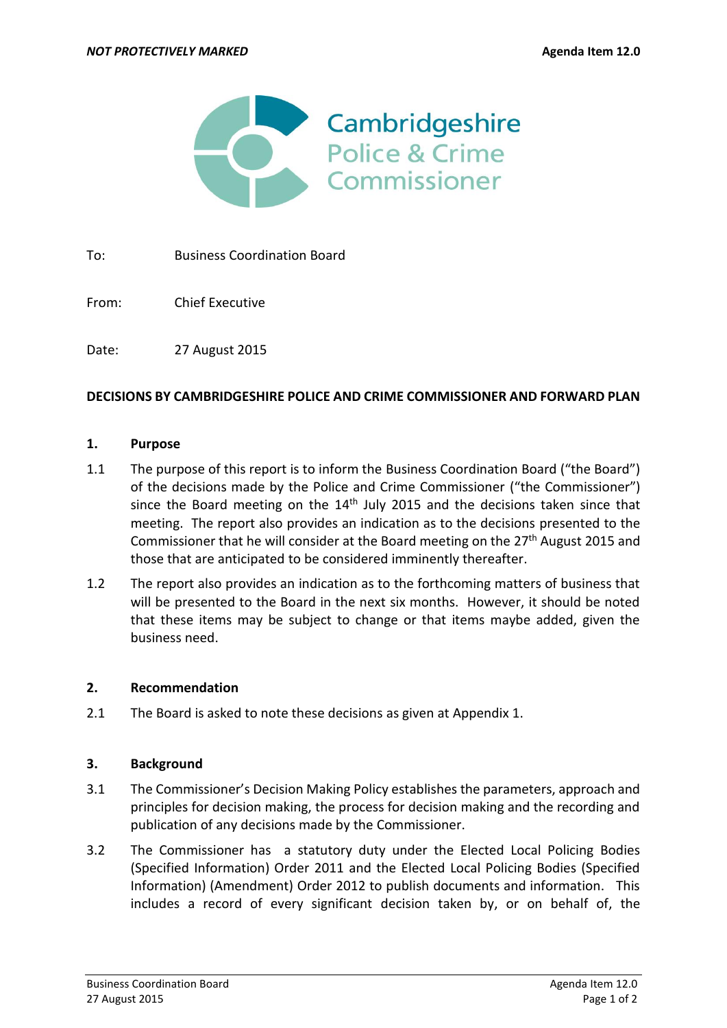

To: Business Coordination Board

From: Chief Executive

Date: 27 August 2015

### **DECISIONS BY CAMBRIDGESHIRE POLICE AND CRIME COMMISSIONER AND FORWARD PLAN**

#### **1. Purpose**

- 1.1 The purpose of this report is to inform the Business Coordination Board ("the Board") of the decisions made by the Police and Crime Commissioner ("the Commissioner") since the Board meeting on the  $14<sup>th</sup>$  July 2015 and the decisions taken since that meeting. The report also provides an indication as to the decisions presented to the Commissioner that he will consider at the Board meeting on the  $27<sup>th</sup>$  August 2015 and those that are anticipated to be considered imminently thereafter.
- 1.2 The report also provides an indication as to the forthcoming matters of business that will be presented to the Board in the next six months. However, it should be noted that these items may be subject to change or that items maybe added, given the business need.

#### **2. Recommendation**

2.1 The Board is asked to note these decisions as given at Appendix 1.

#### **3. Background**

- 3.1 The Commissioner's Decision Making Policy establishes the parameters, approach and principles for decision making, the process for decision making and the recording and publication of any decisions made by the Commissioner.
- 3.2 The Commissioner has a statutory duty under the Elected Local Policing Bodies (Specified Information) Order 2011 and the Elected Local Policing Bodies (Specified Information) (Amendment) Order 2012 to publish documents and information. This includes a record of every significant decision taken by, or on behalf of, the